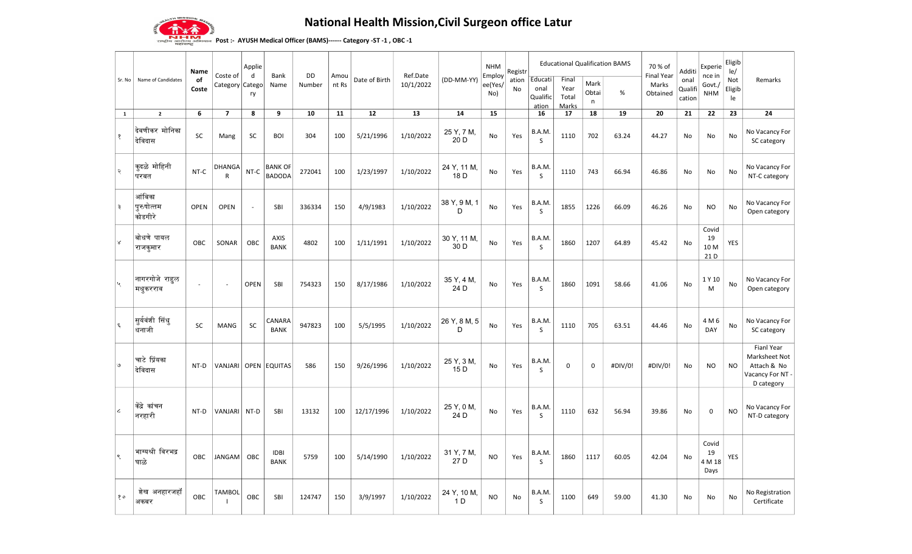

## National Health Mission,Civil Surgeon office Latur

<u>या स्वार</u><br>अनुहोरम्य अभिन्यान Post :- AYUSH Medical Officer (BAMS)------ Category -ST -1 , OBC -1

| Sr. No                     | Name of Candidates              | Name<br>of<br>Coste | Coste of<br>Category Catego   | Applie<br>d<br>ry | Bank<br>Name                    | DD<br>Number | Amou<br>nt Rs | Date of Birth | Ref.Date<br>10/1/2022 | (DD-MM-YY)                    | <b>NHM</b><br>Employ<br>ee(Yes/<br>No) | Registr<br>ation<br>No | Educati<br>onal<br>Qualific<br>ation | <b>Educational Qualification BAMS</b><br>Final<br>Year<br>Total<br>Marks | Mark<br>Obtai<br>n | %       | 70 % of<br><b>Final Year</b><br>Marks<br>Obtained | Additi<br>onal<br>Qualifi<br>cation | Experie<br>nce in<br>Govt./<br><b>NHM</b> | Eligib<br>le/<br>Not<br>Eligib<br>le | Remarks                                                                      |
|----------------------------|---------------------------------|---------------------|-------------------------------|-------------------|---------------------------------|--------------|---------------|---------------|-----------------------|-------------------------------|----------------------------------------|------------------------|--------------------------------------|--------------------------------------------------------------------------|--------------------|---------|---------------------------------------------------|-------------------------------------|-------------------------------------------|--------------------------------------|------------------------------------------------------------------------------|
| 1                          | $\overline{2}$                  | 6                   | $\overline{7}$                | 8                 | 9                               | 10           | 11            | 12            | 13                    | 14                            | 15                                     |                        | 16                                   | 17                                                                       | 18                 | 19      | 20                                                | 21                                  | 22                                        | 23                                   | 24                                                                           |
| $\mathbf{\hat{S}}$         | देवणीकर मोनिका<br>देविदास       | SC                  | Mang                          | <b>SC</b>         | <b>BOI</b>                      | 304          | 100           | 5/21/1996     | 1/10/2022             | 25 Y, 7 M,<br>20 D            | No                                     | Yes                    | B.A.M<br>S                           | 1110                                                                     | 702                | 63.24   | 44.27                                             | No                                  | No                                        | No                                   | No Vacancy For<br>SC category                                                |
| २                          | कुदळे मोहिनी<br>परबत            | NT-C                | <b>DHANGA</b><br>$\mathsf{R}$ | $NT-C$            | <b>BANK OF</b><br><b>BADODA</b> | 272041       | 100           | 1/23/1997     | 1/10/2022             | 24 Y, 11 M,<br>18D            | No                                     | Yes                    | B.A.M.<br>S                          | 1110                                                                     | 743                | 66.94   | 46.86                                             | <b>No</b>                           | No                                        | No                                   | No Vacancy For<br>NT-C category                                              |
| ३                          | आंबिका<br>पुरुषोत्तम<br>कोडगीरे | OPEN                | <b>OPEN</b>                   | $\Box$            | SBI                             | 336334       | 150           | 4/9/1983      | 1/10/2022             | 38 Y, 9 M, 1<br>D             | No                                     | Yes                    | B.A.M.<br>S                          | 1855                                                                     | 1226               | 66.09   | 46.26                                             | No                                  | <b>NO</b>                                 | No                                   | No Vacancy For<br>Open category                                              |
| ∀                          | बोधणे पायल<br>राजकुमार          | <b>OBC</b>          | SONAR                         | OBC               | AXIS<br><b>BANK</b>             | 4802         | 100           | 1/11/1991     | 1/10/2022             | 30 Y, 11 M,<br>30 D           | No                                     | Yes                    | B.A.M.<br>S.                         | 1860                                                                     | 1207               | 64.89   | 45.42                                             | No                                  | Covid<br>19<br>10 M<br>21D                | <b>YES</b>                           |                                                                              |
|                            | नागरगोजे राहुल<br>मधुकरराव      | $\omega$            | $\sim$                        | <b>OPEN</b>       | SBI                             | 754323       | 150           | 8/17/1986     | 1/10/2022             | 35 Y, 4 M,<br>24 D            | No                                     | Yes                    | B.A.M.<br>S                          | 1860                                                                     | 1091               | 58.66   | 41.06                                             | No                                  | 1 Y 10<br>M                               | No                                   | No Vacancy For<br>Open category                                              |
| $\boldsymbol{\xi}$         | सुर्यवंशी सिंधु<br>धनाजी        | <b>SC</b>           | <b>MANG</b>                   | <b>SC</b>         | CANARA<br><b>BANK</b>           | 947823       | 100           | 5/5/1995      | 1/10/2022             | 26 Y, 8 M, 5<br>D             | <b>No</b>                              | Yes                    | B.A.M.<br>$\mathsf{S}$               | 1110                                                                     | 705                | 63.51   | 44.46                                             | <b>No</b>                           | 4 M 6<br>DAY                              | No                                   | No Vacancy For<br>SC category                                                |
| $\mathcal{O}$              | चाटे प्रिंयका<br>देविदास        | NT-D                | VANJARI                       |                   | OPEN EQUITAS                    | 586          | 150           | 9/26/1996     | 1/10/2022             | 25 Y, 3 M,<br>15 <sub>D</sub> | No                                     | Yes                    | B.A.M.<br>S                          | $\mathsf 0$                                                              | $\mathbf 0$        | #DIV/0! | #DIV/0!                                           | No                                  | <b>NO</b>                                 | <b>NO</b>                            | Fianl Year<br>Marksheet Not<br>Attach & No<br>Vacancy For NT -<br>D category |
| $\boldsymbol{\mathcal{L}}$ | केंद्रे कांचन<br>∣नरहारी        | NT-D                | VANJARI                       | NT-D              | SBI                             | 13132        | 100           | 12/17/1996    | 1/10/2022             | 25 Y, 0 M,<br>24D             | No                                     | Yes                    | B.A.M.<br><sub>S</sub>               | 1110                                                                     | 632                | 56.94   | 39.86                                             | No                                  | $\mathbf 0$                               | <b>NO</b>                            | No Vacancy For<br>NT-D category                                              |
| ९                          | भाग्यश्री विरभद्र<br>घाळे       | OBC                 | JANGAM                        | OBC               | <b>IDBI</b><br><b>BANK</b>      | 5759         | 100           | 5/14/1990     | 1/10/2022             | 31 Y, 7 M,<br>27 D            | <b>NO</b>                              | Yes                    | B.A.M.<br>S                          | 1860                                                                     | 1117               | 60.05   | 42.04                                             | No                                  | Covid<br>19<br>4 M 18<br>Days             | YES                                  |                                                                              |
| १०                         | शेख अनहारजहॉ<br>अकबर            | OBC                 | TAMBOL                        | OBC               | SBI                             | 124747       | 150           | 3/9/1997      | 1/10/2022             | 24 Y, 10 M,<br>1 D            | <b>NO</b>                              | No                     | B.A.M.<br>S                          | 1100                                                                     | 649                | 59.00   | 41.30                                             | No                                  | No                                        | No                                   | No Registration<br>Certificate                                               |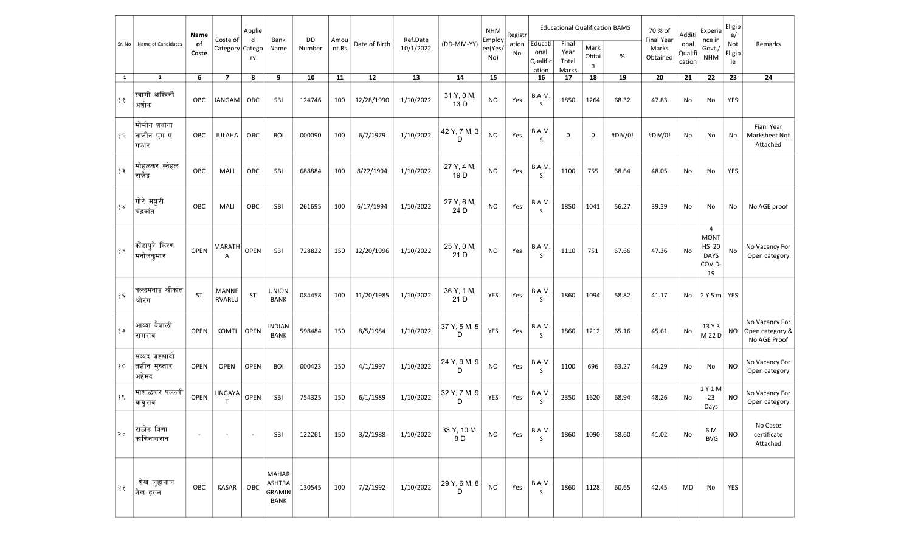| Sr. No | Name of Candidates                    | Name<br>of<br>Coste | Coste of<br>Category Catego   | Applie<br>d<br>ry        | Bank<br>Name                                    | DD<br>Number | Amou<br>nt Rs | Date of Birth | Ref.Date<br>10/1/2022 | (DD-MM-YY)                    | <b>NHM</b><br>Employ<br>ee(Yes/<br>No) | Registr<br>ation<br>No | Educati<br>onal<br>Qualific<br>ation | <b>Educational Qualification BAMS</b><br>Final<br>Year<br>Total<br>Marks | Mark<br>Obtai<br>n | %       | 70 % of<br><b>Final Year</b><br>Marks<br>Obtained | Additi<br>onal<br>Qualif<br>cation | Experie<br>nce in<br>Govt./<br><b>NHM</b>                       | Eligib<br>le/<br>Not<br>Eligib<br>le | Remarks                                           |
|--------|---------------------------------------|---------------------|-------------------------------|--------------------------|-------------------------------------------------|--------------|---------------|---------------|-----------------------|-------------------------------|----------------------------------------|------------------------|--------------------------------------|--------------------------------------------------------------------------|--------------------|---------|---------------------------------------------------|------------------------------------|-----------------------------------------------------------------|--------------------------------------|---------------------------------------------------|
| 1      | $\overline{2}$                        | 6                   | $\overline{\phantom{a}}$      | 8                        | 9                                               | 10           | 11            | 12            | 13                    | 14                            | 15                                     |                        | 16                                   | 17                                                                       | 18                 | 19      | 20                                                | 21                                 | 22                                                              | 23                                   | 24                                                |
| ११     | स्वामी अश्विनी<br>अशोक                | OBC                 | JANGAM                        | OBC                      | SBI                                             | 124746       | 100           | 12/28/1990    | 1/10/2022             | 31 Y, 0 M,<br>13 D            | <b>NO</b>                              | Yes                    | B.A.M.<br>S                          | 1850                                                                     | 1264               | 68.32   | 47.83                                             | No                                 | No                                                              | YES                                  |                                                   |
| १२     | मोमीन शबाना<br>नाजीन एम ए<br>गफार     | OBC                 | <b>JULAHA</b>                 | OBC                      | <b>BOI</b>                                      | 000090       | 100           | 6/7/1979      | 1/10/2022             | 42 Y, 7 M, 3<br>D             | <b>NO</b>                              | Yes                    | B.A.M.<br><sub>S</sub>               | 0                                                                        | 0                  | #DIV/0! | #DIV/0!                                           | No                                 | No                                                              | No                                   | Fianl Year<br>Marksheet Not<br>Attached           |
| १३     | मोहळकर स्नेहल<br>राजेंद्र             | OBC                 | MALI                          | OBC                      | SBI                                             | 688884       | 100           | 8/22/1994     | 1/10/2022             | 27 Y, 4 M,<br>19 <sub>D</sub> | <b>NO</b>                              | Yes                    | B.A.M.<br><sub>S</sub>               | 1100                                                                     | 755                | 68.64   | 48.05                                             | No                                 | No                                                              | YES                                  |                                                   |
| १४     | गोरे मयुरी<br>चंद्रकांत               | OBC                 | MALI                          | OBC                      | SBI                                             | 261695       | 100           | 6/17/1994     | 1/10/2022             | 27 Y, 6 M,<br>24 D            | <b>NO</b>                              | Yes                    | B.A.M.<br>S                          | 1850                                                                     | 1041               | 56.27   | 39.39                                             | No                                 | No                                                              | No                                   | No AGE proof                                      |
| १५     | कोंडापुरे किरण<br>मनोजकुमार           | <b>OPEN</b>         | MARATH<br>А                   | <b>OPEN</b>              | SBI                                             | 728822       | 150           | 12/20/1996    | 1/10/2022             | 25 Y, 0 M,<br>21D             | <b>NO</b>                              | Yes                    | B.A.M.<br><sub>S</sub>               | 1110                                                                     | 751                | 67.66   | 47.36                                             | No                                 | 4<br><b>MONT</b><br><b>HS 20</b><br><b>DAYS</b><br>COVID-<br>19 | No                                   | No Vacancy For<br>Open category                   |
| १६     | वल्लमवाड श्रीकांत<br>श्रीरंग          | ST                  | <b>MANNE</b><br><b>RVARLU</b> | ST                       | <b>UNION</b><br><b>BANK</b>                     | 084458       | 100           | 11/20/1985    | 1/10/2022             | 36 Y, 1 M,<br>21 D            | YES                                    | Yes                    | B.A.M.<br>S                          | 1860                                                                     | 1094               | 58.82   | 41.17                                             | No                                 | $2Y5m$ YES                                                      |                                      |                                                   |
| १७     | आय्या वैशाली<br>रामराव                | <b>OPEN</b>         | KOMTI                         | OPEN                     | <b>INDIAN</b><br><b>BANK</b>                    | 598484       | 150           | 8/5/1984      | 1/10/2022             | 37 Y, 5 M, 5<br>D             | YES                                    | Yes                    | B.A.M.<br><sub>S</sub>               | 1860                                                                     | 1212               | 65.16   | 45.61                                             | No                                 | 13 Y 3<br>M 22 D                                                | NO                                   | No Vacancy For<br>Open category &<br>No AGE Proof |
| १८     | सय्यद शहझादी<br>तझीन मुख्तार<br>अहेमद | <b>OPEN</b>         | <b>OPEN</b>                   | <b>OPEN</b>              | <b>BOI</b>                                      | 000423       | 150           | 4/1/1997      | 1/10/2022             | 24 Y, 9 M, 9<br>D             | <b>NO</b>                              | Yes                    | B.A.M.<br><sub>S</sub>               | 1100                                                                     | 696                | 63.27   | 44.29                                             | No                                 | No                                                              | NO                                   | No Vacancy For<br>Open category                   |
| १९     | माशाळकर पल्लवी<br>बाबुराव             | OPEN                | LINGAYA<br>$\mathsf{T}$       | <b>OPEN</b>              | SBI                                             | 754325       | 150           | 6/1/1989      | 1/10/2022             | 32 Y, 7 M, 9<br>D             | YES                                    | Yes                    | B.A.M.<br>S                          | 2350                                                                     | 1620               | 68.94   | 48.26                                             | No                                 | $1$ Y $1$ M<br>23<br>Days                                       | NO.                                  | No Vacancy For<br>Open category                   |
| २०     | राठोड विद्या<br>काशिनाथराव            |                     |                               | $\overline{\phantom{a}}$ | SBI                                             | 122261       | 150           | 3/2/1988      | 1/10/2022             | 33 Y, 10 M,<br>8 D            | <b>NO</b>                              | Yes                    | B.A.M.<br>S                          | 1860                                                                     | 1090               | 58.60   | 41.02                                             | No                                 | 6 M<br><b>BVG</b>                                               | NO.                                  | No Caste<br>certificate<br>Attached               |
| २१     | शेख जुहानाज<br>शेख हसन                | OBC                 | KASAR                         | OBC                      | <b>MAHAR</b><br><b>ASHTRA</b><br>GRAMIN<br>BANK | 130545       | 100           | 7/2/1992      | 1/10/2022             | 29 Y, 6 M, 8<br>D             | <b>NO</b>                              | Yes                    | B.A.M.<br>S                          | 1860                                                                     | 1128               | 60.65   | 42.45                                             | MD                                 | No                                                              | YES                                  |                                                   |